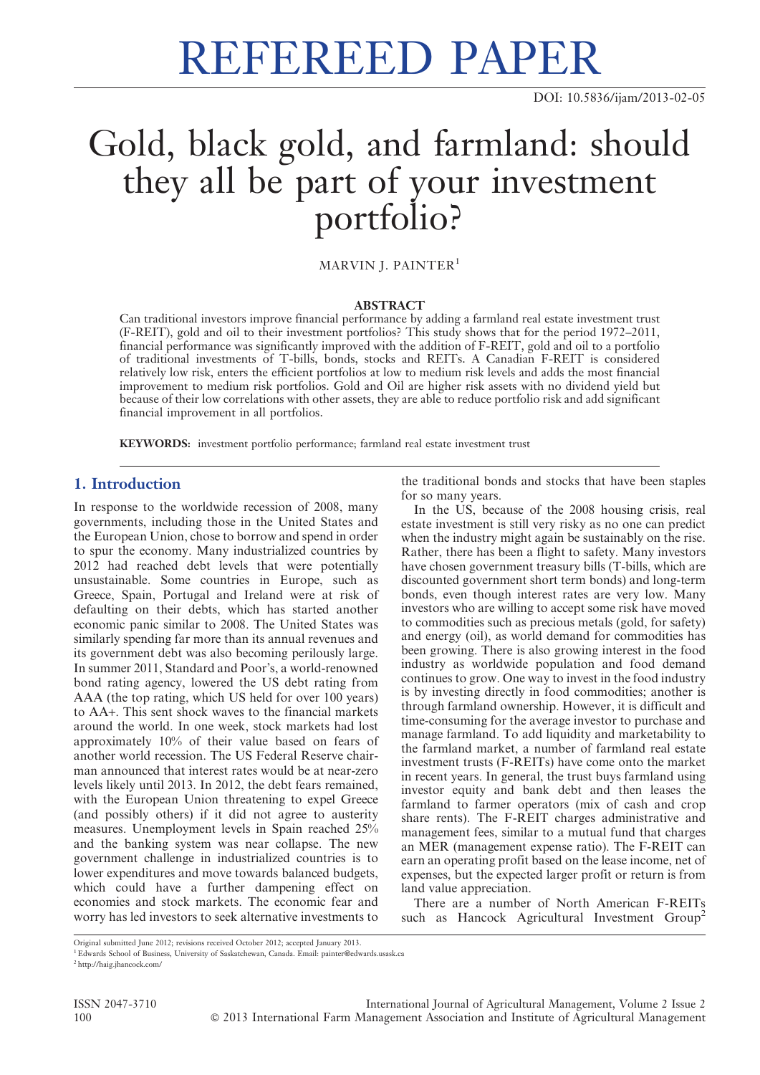# REFEREED PAPER

DOI: 10.5836/ijam/2013-02-05

# Gold, black gold, and farmland: should they all be part of your investment portfolio?

MARVIN J. PAINTER<sup>1</sup>

#### ABSTRACT

Can traditional investors improve financial performance by adding a farmland real estate investment trust (F-REIT), gold and oil to their investment portfolios? This study shows that for the period 1972–2011, financial performance was significantly improved with the addition of F-REIT, gold and oil to a portfolio of traditional investments of T-bills, bonds, stocks and REITs. A Canadian F-REIT is considered relatively low risk, enters the efficient portfolios at low to medium risk levels and adds the most financial improvement to medium risk portfolios. Gold and Oil are higher risk assets with no dividend yield but because of their low correlations with other assets, they are able to reduce portfolio risk and add significant financial improvement in all portfolios.

KEYWORDS: investment portfolio performance; farmland real estate investment trust

# 1. Introduction

In response to the worldwide recession of 2008, many governments, including those in the United States and the European Union, chose to borrow and spend in order to spur the economy. Many industrialized countries by 2012 had reached debt levels that were potentially unsustainable. Some countries in Europe, such as Greece, Spain, Portugal and Ireland were at risk of defaulting on their debts, which has started another economic panic similar to 2008. The United States was similarly spending far more than its annual revenues and its government debt was also becoming perilously large. In summer 2011, Standard and Poor's, a world-renowned bond rating agency, lowered the US debt rating from AAA (the top rating, which US held for over 100 years) to AA+. This sent shock waves to the financial markets around the world. In one week, stock markets had lost approximately 10% of their value based on fears of another world recession. The US Federal Reserve chairman announced that interest rates would be at near-zero levels likely until 2013. In 2012, the debt fears remained, with the European Union threatening to expel Greece (and possibly others) if it did not agree to austerity measures. Unemployment levels in Spain reached 25% and the banking system was near collapse. The new government challenge in industrialized countries is to lower expenditures and move towards balanced budgets, which could have a further dampening effect on economies and stock markets. The economic fear and worry has led investors to seek alternative investments to the traditional bonds and stocks that have been staples for so many years.

In the US, because of the 2008 housing crisis, real estate investment is still very risky as no one can predict when the industry might again be sustainably on the rise. Rather, there has been a flight to safety. Many investors have chosen government treasury bills (T-bills, which are discounted government short term bonds) and long-term bonds, even though interest rates are very low. Many investors who are willing to accept some risk have moved to commodities such as precious metals (gold, for safety) and energy (oil), as world demand for commodities has been growing. There is also growing interest in the food industry as worldwide population and food demand continues to grow. One way to invest in the food industry is by investing directly in food commodities; another is through farmland ownership. However, it is difficult and time-consuming for the average investor to purchase and manage farmland. To add liquidity and marketability to the farmland market, a number of farmland real estate investment trusts (F-REITs) have come onto the market in recent years. In general, the trust buys farmland using investor equity and bank debt and then leases the farmland to farmer operators (mix of cash and crop share rents). The F-REIT charges administrative and management fees, similar to a mutual fund that charges an MER (management expense ratio). The F-REIT can earn an operating profit based on the lease income, net of expenses, but the expected larger profit or return is from land value appreciation.

There are a number of North American F-REITs such as Hancock Agricultural Investment Group<sup>2</sup>

Original submitted June 2012; revisions received October 2012; accepted January 2013.

<sup>&</sup>lt;sup>1</sup> Edwards School of Business, University of Saskatchewan, Canada. Email: painter@edwards.usask.ca

<sup>2</sup> http://haig.jhancock.com/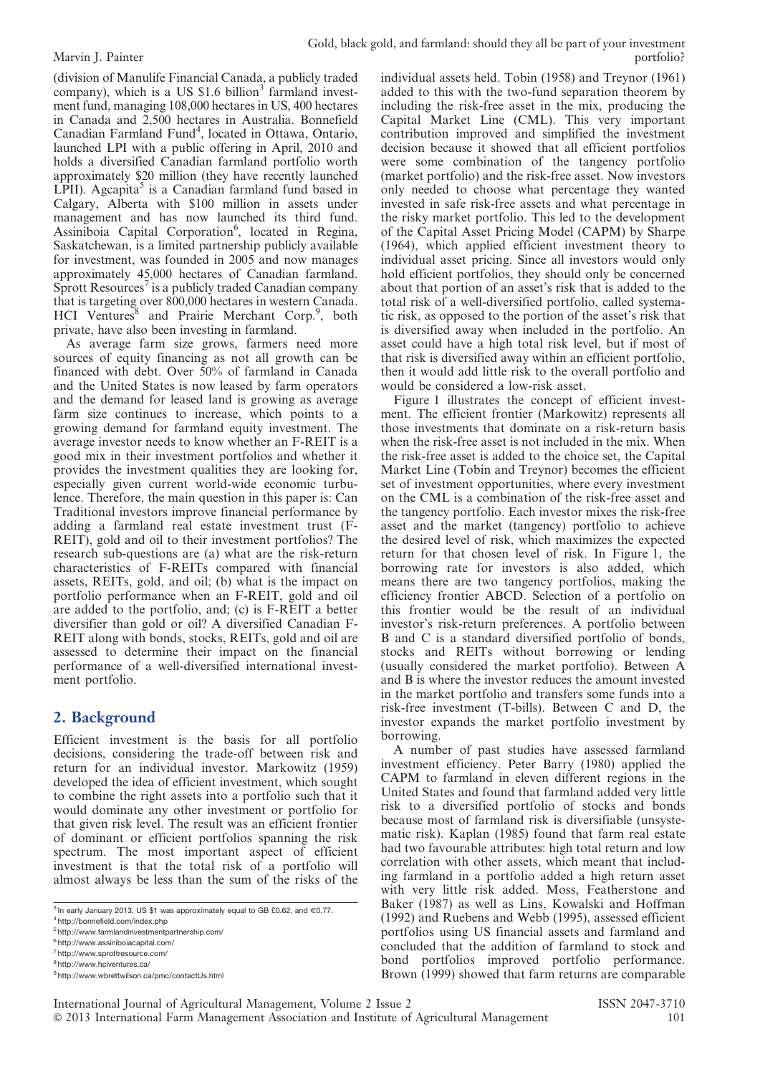(division of Manulife Financial Canada, a publicly traded company), which is a US  $$1.6$  billion<sup>3</sup> farmland investment fund, managing 108,000 hectares in US, 400 hectares in Canada and 2,500 hectares in Australia. Bonnefield Canadian Farmland Fund<sup>4</sup>, located in Ottawa, Ontario, launched LPI with a public offering in April, 2010 and holds a diversified Canadian farmland portfolio worth approximately \$20 million (they have recently launched LPII). Agcapita<sup>5</sup> is a Canadian farmland fund based in Calgary, Alberta with \$100 million in assets under management and has now launched its third fund. Assiniboia Capital Corporation<sup>6</sup>, located in Regina, Saskatchewan, is a limited partnership publicly available for investment, was founded in 2005 and now manages approximately 45,000 hectares of Canadian farmland.  $S$ prott Resources<sup>7</sup> is a publicly traded Canadian company that is targeting over 800,000 hectares in western Canada. HCI Ventures<sup>8</sup> and Prairie Merchant Corp.<sup>9</sup>, both private, have also been investing in farmland.

As average farm size grows, farmers need more sources of equity financing as not all growth can be financed with debt. Over 50% of farmland in Canada and the United States is now leased by farm operators and the demand for leased land is growing as average farm size continues to increase, which points to a growing demand for farmland equity investment. The average investor needs to know whether an F-REIT is a good mix in their investment portfolios and whether it provides the investment qualities they are looking for, especially given current world-wide economic turbulence. Therefore, the main question in this paper is: Can Traditional investors improve financial performance by adding a farmland real estate investment trust (F-REIT), gold and oil to their investment portfolios? The research sub-questions are (a) what are the risk-return characteristics of F-REITs compared with financial assets, REITs, gold, and oil; (b) what is the impact on portfolio performance when an F-REIT, gold and oil are added to the portfolio, and; (c) is F-REIT a better diversifier than gold or oil? A diversified Canadian F-REIT along with bonds, stocks, REITs, gold and oil are assessed to determine their impact on the financial performance of a well-diversified international investment portfolio.

#### 2. Background

Efficient investment is the basis for all portfolio decisions, considering the trade-off between risk and return for an individual investor. Markowitz (1959) developed the idea of efficient investment, which sought to combine the right assets into a portfolio such that it would dominate any other investment or portfolio for that given risk level. The result was an efficient frontier of dominant or efficient portfolios spanning the risk spectrum. The most important aspect of efficient investment is that the total risk of a portfolio will almost always be less than the sum of the risks of the

individual assets held. Tobin (1958) and Treynor (1961) added to this with the two-fund separation theorem by including the risk-free asset in the mix, producing the Capital Market Line (CML). This very important contribution improved and simplified the investment decision because it showed that all efficient portfolios were some combination of the tangency portfolio (market portfolio) and the risk-free asset. Now investors only needed to choose what percentage they wanted invested in safe risk-free assets and what percentage in the risky market portfolio. This led to the development of the Capital Asset Pricing Model (CAPM) by Sharpe (1964), which applied efficient investment theory to individual asset pricing. Since all investors would only hold efficient portfolios, they should only be concerned about that portion of an asset's risk that is added to the total risk of a well-diversified portfolio, called systematic risk, as opposed to the portion of the asset's risk that is diversified away when included in the portfolio. An asset could have a high total risk level, but if most of that risk is diversified away within an efficient portfolio, then it would add little risk to the overall portfolio and would be considered a low-risk asset.

Figure 1 illustrates the concept of efficient investment. The efficient frontier (Markowitz) represents all those investments that dominate on a risk-return basis when the risk-free asset is not included in the mix. When the risk-free asset is added to the choice set, the Capital Market Line (Tobin and Treynor) becomes the efficient set of investment opportunities, where every investment on the CML is a combination of the risk-free asset and the tangency portfolio. Each investor mixes the risk-free asset and the market (tangency) portfolio to achieve the desired level of risk, which maximizes the expected return for that chosen level of risk. In Figure 1, the borrowing rate for investors is also added, which means there are two tangency portfolios, making the efficiency frontier ABCD. Selection of a portfolio on this frontier would be the result of an individual investor's risk-return preferences. A portfolio between B and C is a standard diversified portfolio of bonds, stocks and REITs without borrowing or lending (usually considered the market portfolio). Between A and B is where the investor reduces the amount invested in the market portfolio and transfers some funds into a risk-free investment (T-bills). Between C and D, the investor expands the market portfolio investment by borrowing.

A number of past studies have assessed farmland investment efficiency. Peter Barry (1980) applied the CAPM to farmland in eleven different regions in the United States and found that farmland added very little risk to a diversified portfolio of stocks and bonds because most of farmland risk is diversifiable (unsystematic risk). Kaplan (1985) found that farm real estate had two favourable attributes: high total return and low correlation with other assets, which meant that including farmland in a portfolio added a high return asset with very little risk added. Moss, Featherstone and Baker (1987) as well as Lins, Kowalski and Hoffman (1992) and Ruebens and Webb (1995), assessed efficient portfolios using US financial assets and farmland and concluded that the addition of farmland to stock and bond portfolios improved portfolio performance. Brown (1999) showed that farm returns are comparable

 $3$  In early January 2013, US \$1 was approximately equal to GB £0.62, and  $\in$ 0.77.

<sup>4</sup> http://bonnefield.com/index.php

<sup>5</sup> http://www.farmlandinvestmentpartnership.com/

<sup>6</sup> http://www.assiniboiacapital.com/

<sup>7</sup> http://www.sprottresource.com/

<sup>8</sup> http://www.hciventures.ca/

<sup>9</sup> http://www.wbrettwilson.ca/pmc/contactUs.html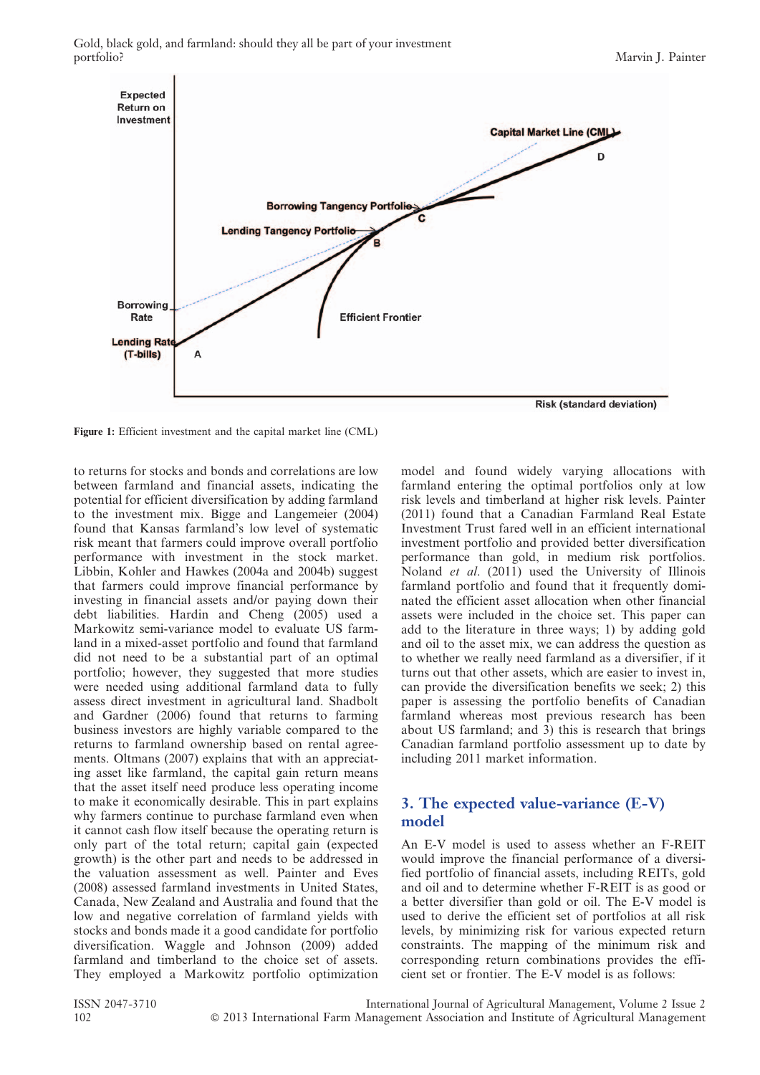

Figure 1: Efficient investment and the capital market line (CML)

to returns for stocks and bonds and correlations are low between farmland and financial assets, indicating the potential for efficient diversification by adding farmland to the investment mix. Bigge and Langemeier (2004) found that Kansas farmland's low level of systematic risk meant that farmers could improve overall portfolio performance with investment in the stock market. Libbin, Kohler and Hawkes (2004a and 2004b) suggest that farmers could improve financial performance by investing in financial assets and/or paying down their debt liabilities. Hardin and Cheng (2005) used a Markowitz semi-variance model to evaluate US farmland in a mixed-asset portfolio and found that farmland did not need to be a substantial part of an optimal portfolio; however, they suggested that more studies were needed using additional farmland data to fully assess direct investment in agricultural land. Shadbolt and Gardner (2006) found that returns to farming business investors are highly variable compared to the returns to farmland ownership based on rental agreements. Oltmans (2007) explains that with an appreciating asset like farmland, the capital gain return means that the asset itself need produce less operating income to make it economically desirable. This in part explains why farmers continue to purchase farmland even when it cannot cash flow itself because the operating return is only part of the total return; capital gain (expected growth) is the other part and needs to be addressed in the valuation assessment as well. Painter and Eves (2008) assessed farmland investments in United States, Canada, New Zealand and Australia and found that the low and negative correlation of farmland yields with stocks and bonds made it a good candidate for portfolio diversification. Waggle and Johnson (2009) added farmland and timberland to the choice set of assets. They employed a Markowitz portfolio optimization model and found widely varying allocations with farmland entering the optimal portfolios only at low risk levels and timberland at higher risk levels. Painter (2011) found that a Canadian Farmland Real Estate Investment Trust fared well in an efficient international investment portfolio and provided better diversification performance than gold, in medium risk portfolios. Noland et al. (2011) used the University of Illinois farmland portfolio and found that it frequently dominated the efficient asset allocation when other financial assets were included in the choice set. This paper can add to the literature in three ways; 1) by adding gold and oil to the asset mix, we can address the question as to whether we really need farmland as a diversifier, if it turns out that other assets, which are easier to invest in, can provide the diversification benefits we seek; 2) this paper is assessing the portfolio benefits of Canadian farmland whereas most previous research has been about US farmland; and  $\overline{3}$ ) this is research that brings Canadian farmland portfolio assessment up to date by including 2011 market information.

# 3. The expected value-variance (E-V) model

An E-V model is used to assess whether an F-REIT would improve the financial performance of a diversified portfolio of financial assets, including REITs, gold and oil and to determine whether F-REIT is as good or a better diversifier than gold or oil. The E-V model is used to derive the efficient set of portfolios at all risk levels, by minimizing risk for various expected return constraints. The mapping of the minimum risk and corresponding return combinations provides the efficient set or frontier. The E-V model is as follows: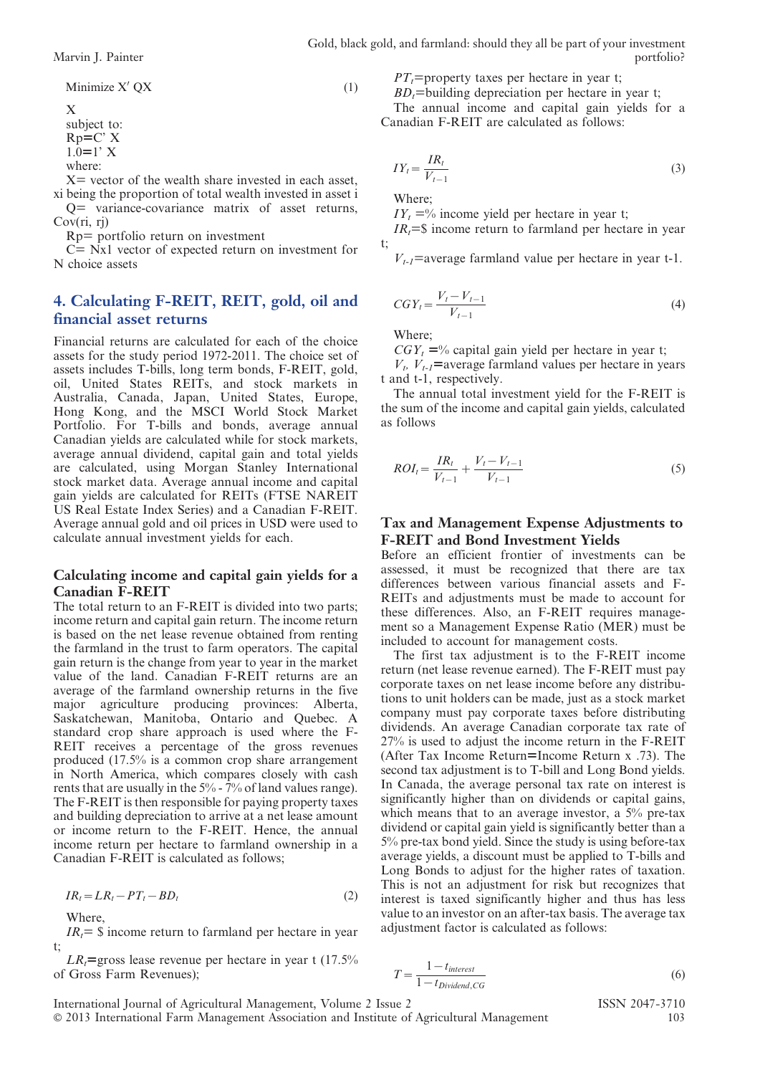Minimize  $X' QX$  (1)

X

subject to:

Rp=C' X  $1.\overline{0}$ =1' X

where:

 $X=$  vector of the wealth share invested in each asset,

xi being the proportion of total wealth invested in asset i Q= variance-covariance matrix of asset returns, Cov(ri, rj)

Rp= portfolio return on investment

 $C = Nx1$  vector of expected return on investment for N choice assets

# 4. Calculating F-REIT, REIT, gold, oil and financial asset returns

Financial returns are calculated for each of the choice assets for the study period 1972-2011. The choice set of assets includes T-bills, long term bonds, F-REIT, gold, oil, United States REITs, and stock markets in Australia, Canada, Japan, United States, Europe, Hong Kong, and the MSCI World Stock Market Portfolio. For T-bills and bonds, average annual Canadian yields are calculated while for stock markets, average annual dividend, capital gain and total yields are calculated, using Morgan Stanley International stock market data. Average annual income and capital gain yields are calculated for REITs (FTSE NAREIT US Real Estate Index Series) and a Canadian F-REIT. Average annual gold and oil prices in USD were used to calculate annual investment yields for each.

#### Calculating income and capital gain yields for a Canadian F-REIT

The total return to an F-REIT is divided into two parts; income return and capital gain return. The income return is based on the net lease revenue obtained from renting the farmland in the trust to farm operators. The capital gain return is the change from year to year in the market value of the land. Canadian F-REIT returns are an average of the farmland ownership returns in the five major agriculture producing provinces: Alberta, Saskatchewan, Manitoba, Ontario and Quebec. A standard crop share approach is used where the F-REIT receives a percentage of the gross revenues produced (17.5% is a common crop share arrangement in North America, which compares closely with cash rents that are usually in the 5% - 7% of land values range). The F-REIT is then responsible for paying property taxes and building depreciation to arrive at a net lease amount or income return to the F-REIT. Hence, the annual income return per hectare to farmland ownership in a Canadian F-REIT is calculated as follows;

$$
IR_t = LR_t - PT_t - BD_t \tag{2}
$$

Where,

 $IR<sub>t</sub>$  = \$ income return to farmland per hectare in year t;

 $LR_t$ =gross lease revenue per hectare in year t (17.5%) of Gross Farm Revenues);

Gold, black gold, and farmland: should they all be part of your investment Marvin J. Painter portfolio?

 $PT_t$ =property taxes per hectare in year t;

 $BD_t$ =building depreciation per hectare in year t;

The annual income and capital gain yields for a Canadian F-REIT are calculated as follows:

$$
IY_t = \frac{IR_t}{V_{t-1}}
$$
\n<sup>(3)</sup>

Where;

 $IY_t = %$  income yield per hectare in year t;

 $IR<sub>t</sub>=$ § income return to farmland per hectare in year t;

 $V_{t-1}$ =average farmland value per hectare in year t-1.

$$
CGY_t = \frac{V_t - V_{t-1}}{V_{t-1}}
$$
\n(4)

Where;

 $CGY_t = %$  capital gain yield per hectare in year t;

 $V_t$ ,  $V_{t-1}$ =average farmland values per hectare in years t and t-1, respectively.

The annual total investment yield for the F-REIT is the sum of the income and capital gain yields, calculated as follows

$$
ROI_t = \frac{IR_t}{V_{t-1}} + \frac{V_t - V_{t-1}}{V_{t-1}}
$$
\n(5)

#### Tax and Management Expense Adjustments to F-REIT and Bond Investment Yields

Before an efficient frontier of investments can be assessed, it must be recognized that there are tax differences between various financial assets and F-REITs and adjustments must be made to account for these differences. Also, an F-REIT requires management so a Management Expense Ratio (MER) must be included to account for management costs.

The first tax adjustment is to the F-REIT income return (net lease revenue earned). The F-REIT must pay corporate taxes on net lease income before any distributions to unit holders can be made, just as a stock market company must pay corporate taxes before distributing dividends. An average Canadian corporate tax rate of 27% is used to adjust the income return in the F-REIT (After Tax Income Return=Income Return x .73). The second tax adjustment is to T-bill and Long Bond yields. In Canada, the average personal tax rate on interest is significantly higher than on dividends or capital gains, which means that to an average investor, a 5% pre-tax dividend or capital gain yield is significantly better than a 5% pre-tax bond yield. Since the study is using before-tax average yields, a discount must be applied to T-bills and Long Bonds to adjust for the higher rates of taxation. This is not an adjustment for risk but recognizes that interest is taxed significantly higher and thus has less value to an investor on an after-tax basis. The average tax adjustment factor is calculated as follows:

$$
T = \frac{1 - t_{interest}}{1 - t_{Dividend, CG}}
$$
(6)

International Journal of Agricultural Management, Volume 2 Issue 2 ISSN 2047-3710

' 2013 International Farm Management Association and Institute of Agricultural Management 103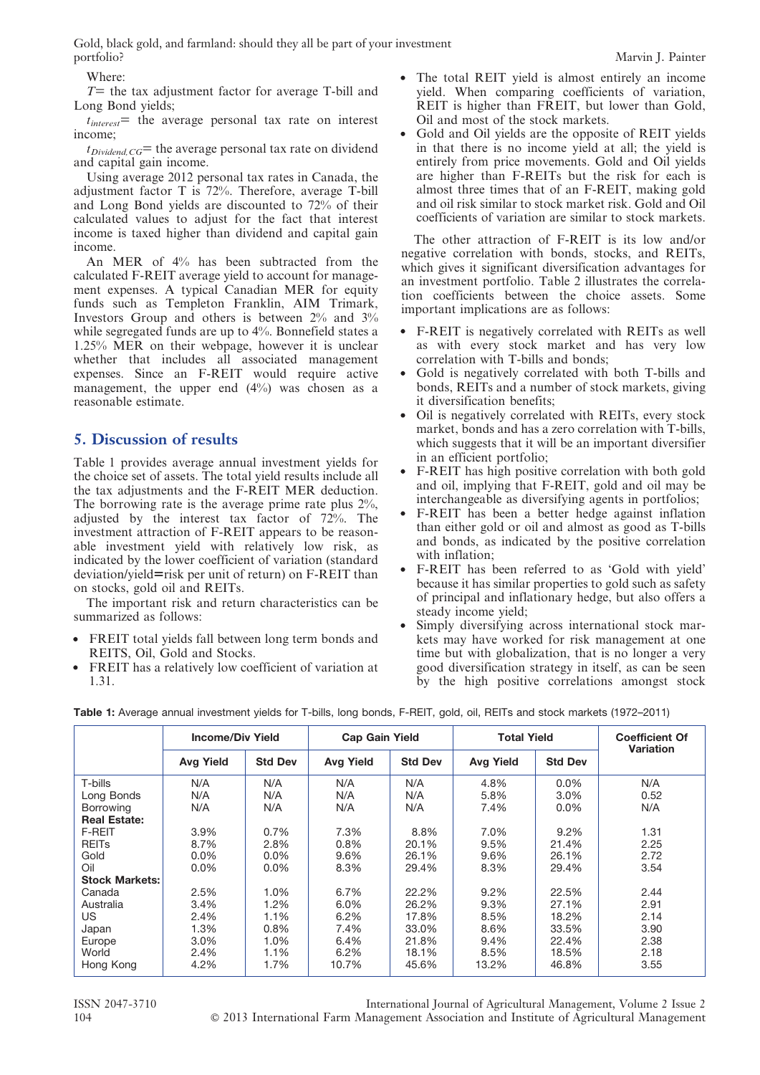#### Where:

 $T=$  the tax adjustment factor for average T-bill and Long Bond yields;

 $t_{\text{interest}}$  the average personal tax rate on interest income;

 $t_{Dividend, CG}$  the average personal tax rate on dividend and capital gain income.

Using average 2012 personal tax rates in Canada, the adjustment factor T is 72%. Therefore, average T-bill and Long Bond yields are discounted to 72% of their calculated values to adjust for the fact that interest income is taxed higher than dividend and capital gain income.

An MER of 4% has been subtracted from the calculated F-REIT average yield to account for management expenses. A typical Canadian MER for equity funds such as Templeton Franklin, AIM Trimark, Investors Group and others is between 2% and 3% while segregated funds are up to 4%. Bonnefield states a 1.25% MER on their webpage, however it is unclear whether that includes all associated management expenses. Since an F-REIT would require active management, the upper end (4%) was chosen as a reasonable estimate.

# 5. Discussion of results

Table 1 provides average annual investment yields for the choice set of assets. The total yield results include all the tax adjustments and the F-REIT MER deduction. The borrowing rate is the average prime rate plus 2%, adjusted by the interest tax factor of 72%. The investment attraction of F-REIT appears to be reasonable investment yield with relatively low risk, as indicated by the lower coefficient of variation (standard deviation/yield=risk per unit of return) on F-REIT than on stocks, gold oil and REITs.

The important risk and return characteristics can be summarized as follows:

- FREIT total yields fall between long term bonds and REITS, Oil, Gold and Stocks.
- FREIT has a relatively low coefficient of variation at 1.31.
- The total REIT yield is almost entirely an income yield. When comparing coefficients of variation, REIT is higher than FREIT, but lower than Gold, Oil and most of the stock markets.
- Gold and Oil yields are the opposite of REIT yields in that there is no income yield at all; the yield is entirely from price movements. Gold and Oil yields are higher than F-REITs but the risk for each is almost three times that of an F-REIT, making gold and oil risk similar to stock market risk. Gold and Oil coefficients of variation are similar to stock markets.

The other attraction of F-REIT is its low and/or negative correlation with bonds, stocks, and REITs, which gives it significant diversification advantages for an investment portfolio. Table 2 illustrates the correlation coefficients between the choice assets. Some important implications are as follows:

- F-REIT is negatively correlated with REITs as well as with every stock market and has very low correlation with T-bills and bonds;
- Gold is negatively correlated with both T-bills and bonds, REITs and a number of stock markets, giving it diversification benefits;
- Oil is negatively correlated with REITs, every stock market, bonds and has a zero correlation with T-bills, which suggests that it will be an important diversifier in an efficient portfolio;
- F-REIT has high positive correlation with both gold and oil, implying that F-REIT, gold and oil may be interchangeable as diversifying agents in portfolios;
- F-REIT has been a better hedge against inflation than either gold or oil and almost as good as T-bills and bonds, as indicated by the positive correlation with inflation;
- F-REIT has been referred to as 'Gold with yield' because it has similar properties to gold such as safety of principal and inflationary hedge, but also offers a steady income yield;
- Simply diversifying across international stock markets may have worked for risk management at one time but with globalization, that is no longer a very good diversification strategy in itself, as can be seen by the high positive correlations amongst stock

|                       | <b>Income/Div Yield</b> |                | <b>Cap Gain Yield</b> |                | <b>Total Yield</b> |                | <b>Coefficient Of</b><br><b>Variation</b> |  |  |
|-----------------------|-------------------------|----------------|-----------------------|----------------|--------------------|----------------|-------------------------------------------|--|--|
|                       | <b>Avg Yield</b>        | <b>Std Dev</b> | <b>Avg Yield</b>      | <b>Std Dev</b> | <b>Avg Yield</b>   | <b>Std Dev</b> |                                           |  |  |
| T-bills               | N/A                     | N/A            | N/A                   | N/A            | 4.8%               | $0.0\%$        | N/A                                       |  |  |
| Long Bonds            | N/A                     | N/A            | N/A                   | N/A            | 5.8%               | $3.0\%$        | 0.52                                      |  |  |
| <b>Borrowing</b>      | N/A                     | N/A            | N/A                   | N/A            | 7.4%               | $0.0\%$        | N/A                                       |  |  |
| <b>Real Estate:</b>   |                         |                |                       |                |                    |                |                                           |  |  |
| <b>F-REIT</b>         | 3.9%                    | 0.7%           | 7.3%                  | 8.8%           | 7.0%               | 9.2%           | 1.31                                      |  |  |
| <b>REITS</b>          | 8.7%                    | 2.8%           | 0.8%                  | 20.1%          | 9.5%               | 21.4%          | 2.25                                      |  |  |
| Gold                  | $0.0\%$                 | $0.0\%$        | 9.6%                  | 26.1%          | 9.6%               |                | 2.72                                      |  |  |
| Oil                   | 0.0%                    | $0.0\%$        | 8.3%                  | 29.4%          | 8.3%               | 29.4%          | 3.54                                      |  |  |
| <b>Stock Markets:</b> |                         |                |                       |                |                    |                |                                           |  |  |
| Canada                | 2.5%                    | 1.0%           | 6.7%                  | 22.2%          | 9.2%               | 22.5%          | 2.44                                      |  |  |
| Australia             | 3.4%                    | 1.2%           | $6.0\%$               | 26.2%          | 9.3%               | 27.1%          | 2.91                                      |  |  |
| <b>US</b>             | 2.4%                    | 1.1%           | 6.2%                  | 17.8%          | 8.5%               | 18.2%          | 2.14                                      |  |  |
| Japan                 | 1.3%                    | 0.8%           | 7.4%                  | 33.0%          | 8.6%               | 33.5%          | 3.90                                      |  |  |
| Europe                | 3.0%                    | 1.0%           | 6.4%                  | 21.8%          | 9.4%               | 22.4%          | 2.38                                      |  |  |
| World                 | 2.4%                    | 1.1%           | 6.2%                  | 18.1%          | 8.5%               | 18.5%          | 2.18                                      |  |  |
| Hong Kong             | 4.2%                    | 1.7%           | 10.7%                 | 45.6%          | 13.2%<br>46.8%     |                | 3.55                                      |  |  |

Table 1: Average annual investment yields for T-bills, long bonds, F-REIT, gold, oil, REITs and stock markets (1972–2011)

ISSN 2047-3710 International Journal of Agricultural Management, Volume 2 Issue 2 104 **C** 2013 International Farm Management Association and Institute of Agricultural Management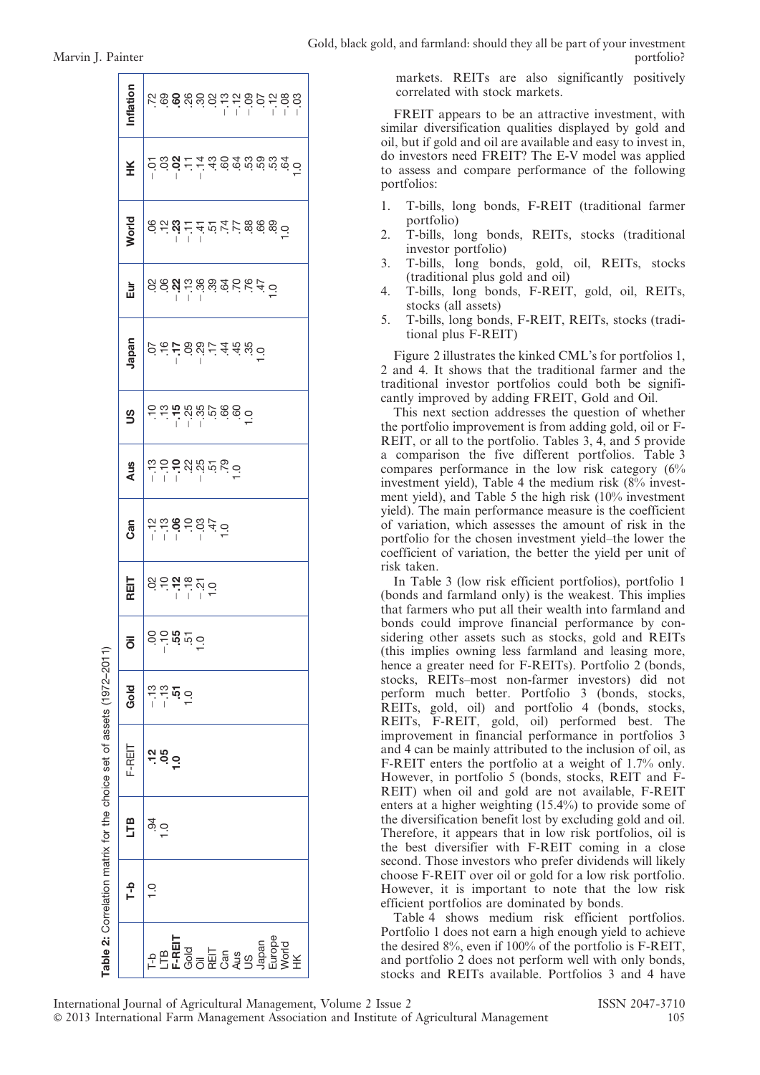Table 2: Correlation matrix for the choice set of assets (1972-2011)

Correlation matrix for the choice set of assets (1972–2011)

| nflation |                                                                                                                                                                                                                                                                                                                                                                                                                         |
|----------|-------------------------------------------------------------------------------------------------------------------------------------------------------------------------------------------------------------------------------------------------------------------------------------------------------------------------------------------------------------------------------------------------------------------------|
| ¥        |                                                                                                                                                                                                                                                                                                                                                                                                                         |
| World    | $\overset{\sim}{\mathcal{S}}\overset{\sim}{\mathcal{S}}\overset{\sim}{\mathcal{S}}\overset{\sim}{\mathcal{I}}\overset{\sim}{\mathcal{I}}\overset{\sim}{\mathcal{I}}\overset{\sim}{\mathcal{I}}\overset{\sim}{\mathcal{I}}\overset{\sim}{\mathcal{L}}\overset{\sim}{\mathcal{S}}\overset{\sim}{\mathcal{S}}\overset{\sim}{\mathcal{S}}\overset{\sim}{\mathcal{S}}\overset{\sim}{\mathcal{S}}\overset{\sim}{\mathcal{S}}$ |
| Ξū       |                                                                                                                                                                                                                                                                                                                                                                                                                         |
| Japan    | 5.679877498077799                                                                                                                                                                                                                                                                                                                                                                                                       |
| SC       | $5.588860$<br>$-7.11$                                                                                                                                                                                                                                                                                                                                                                                                   |
| Aus      | $7.77$ $-1.77$ $-1.77$ $-1.77$ $-1.77$ $-1.77$ $-1.77$ $-1.77$ $-1.77$ $-1.77$ $-1.77$ $-1.77$ $-1.77$ $-1.77$ $-1.77$ $-1.77$ $-1.77$ $-1.77$ $-1.77$ $-1.77$ $-1.77$ $-1.77$ $-1.77$ $-1.77$ $-1.77$ $-1.77$ $-1.77$ $-1.77$                                                                                                                                                                                          |
| Can      | $\begin{array}{cccc}\n 1 & 1 & 1 & 1 & 1 \\ 1 & 1 & 1 & 1 & 1\n \end{array}$                                                                                                                                                                                                                                                                                                                                            |
| REIT     | 89.287                                                                                                                                                                                                                                                                                                                                                                                                                  |
| ō        | ខុក <b>ង</b> ក្នុ                                                                                                                                                                                                                                                                                                                                                                                                       |
| Gold     | <u>្ពុំ : :</u> : :<br>: : : : : : :                                                                                                                                                                                                                                                                                                                                                                                    |
| F-REIT   | <b>2</b> 8 0<br>វី                                                                                                                                                                                                                                                                                                                                                                                                      |
| ĽВ       | ಕ್ಷ =                                                                                                                                                                                                                                                                                                                                                                                                                   |
| 군        | $\frac{1}{1}$                                                                                                                                                                                                                                                                                                                                                                                                           |
|          |                                                                                                                                                                                                                                                                                                                                                                                                                         |

Gold, black gold, and farmland: should they all be part of your investment Marvin J. Painter portfolio?

> markets. REITs are also significantly positively correlated with stock markets.

FREIT appears to be an attractive investment, with similar diversification qualities displayed by gold and oil, but if gold and oil are available and easy to invest in, do investors need FREIT? The E-V model was applied to assess and compare performance of the following portfolios:

- 1. T-bills, long bonds, F-REIT (traditional farmer portfolio)
- 2. T-bills, long bonds, REITs, stocks (traditional investor portfolio)
- 3. T-bills, long bonds, gold, oil, REITs, stocks (traditional plus gold and oil)
- 4. T-bills, long bonds, F-REIT, gold, oil, REITs, stocks (all assets)
- 5. T-bills, long bonds, F-REIT, REITs, stocks (traditional plus F-REIT)

Figure 2 illustrates the kinked CML's for portfolios 1, 2 and 4. It shows that the traditional farmer and the traditional investor portfolios could both be significantly improved by adding FREIT, Gold and Oil.

This next section addresses the question of whether the portfolio improvement is from adding gold, oil or F-REIT, or all to the portfolio. Tables 3, 4, and 5 provide a comparison the five different portfolios. Table 3 compares performance in the low risk category  $(6\%$ investment yield), Table 4 the medium risk (8% investment yield), and Table 5 the high risk (10% investment yield). The main performance measure is the coefficient of variation, which assesses the amount of risk in the portfolio for the chosen investment yield–the lower the coefficient of variation, the better the yield per unit of risk taken.

In Table 3 (low risk efficient portfolios), portfolio 1 (bonds and farmland only) is the weakest. This implies that farmers who put all their wealth into farmland and bonds could improve financial performance by considering other assets such as stocks, gold and REITs (this implies owning less farmland and leasing more, hence a greater need for F-REITs). Portfolio 2 (bonds, stocks, REITs–most non-farmer investors) did not perform much better. Portfolio 3 (bonds, stocks, REITs, gold, oil) and portfolio 4 (bonds, stocks, REITs, F-REIT, gold, oil) performed best. The improvement in financial performance in portfolios 3 and 4 can be mainly attributed to the inclusion of oil, as F-REIT enters the portfolio at a weight of 1.7% only. However, in portfolio 5 (bonds, stocks, REIT and F-REIT) when oil and gold are not available, F-REIT enters at a higher weighting (15.4%) to provide some of the diversification benefit lost by excluding gold and oil. Therefore, it appears that in low risk portfolios, oil is the best diversifier with F-REIT coming in a close second. Those investors who prefer dividends will likely choose F-REIT over oil or gold for a low risk portfolio. However, it is important to note that the low risk efficient portfolios are dominated by bonds.

Table 4 shows medium risk efficient portfolios. Portfolio 1 does not earn a high enough yield to achieve the desired 8%, even if 100% of the portfolio is F-REIT, and portfolio 2 does not perform well with only bonds, stocks and REITs available. Portfolios 3 and 4 have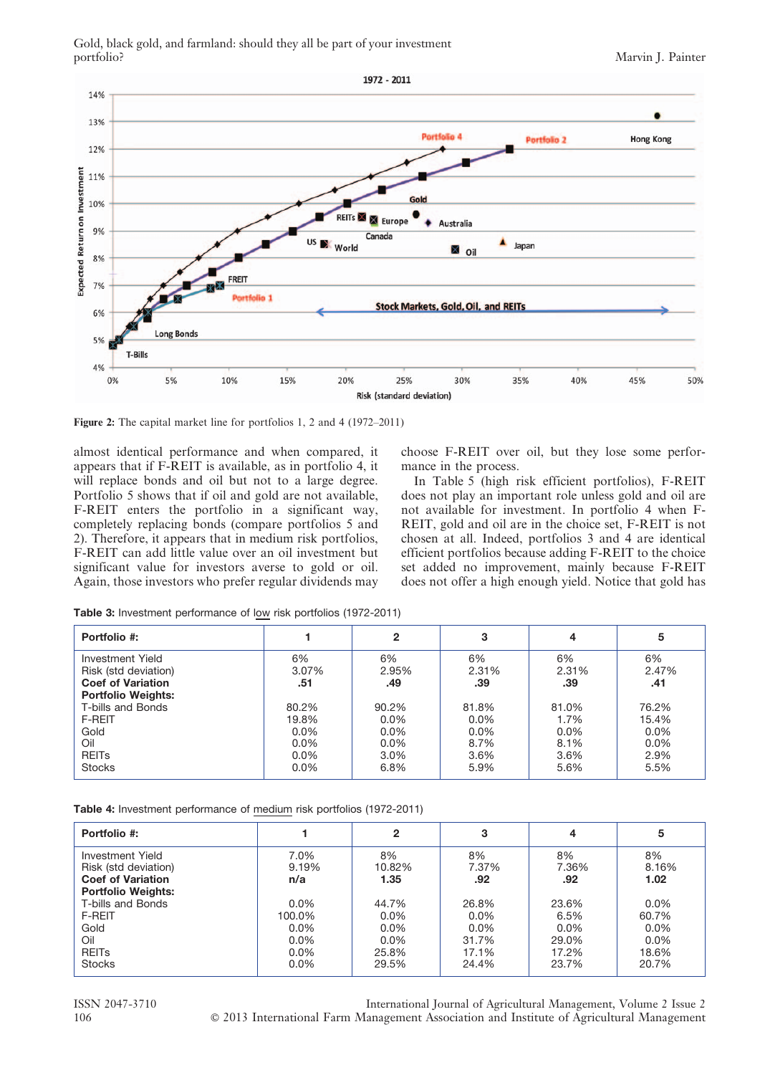

Figure 2: The capital market line for portfolios 1, 2 and 4 (1972–2011)

almost identical performance and when compared, it appears that if F-REIT is available, as in portfolio 4, it will replace bonds and oil but not to a large degree. Portfolio 5 shows that if oil and gold are not available, F-REIT enters the portfolio in a significant way, completely replacing bonds (compare portfolios 5 and 2). Therefore, it appears that in medium risk portfolios, F-REIT can add little value over an oil investment but significant value for investors averse to gold or oil. Again, those investors who prefer regular dividends may choose F-REIT over oil, but they lose some performance in the process.

In Table 5 (high risk efficient portfolios), F-REIT does not play an important role unless gold and oil are not available for investment. In portfolio 4 when F-REIT, gold and oil are in the choice set, F-REIT is not chosen at all. Indeed, portfolios 3 and 4 are identical efficient portfolios because adding F-REIT to the choice set added no improvement, mainly because F-REIT does not offer a high enough yield. Notice that gold has

|  | Table 3: Investment performance of low risk portfolios (1972-2011) |
|--|--------------------------------------------------------------------|
|--|--------------------------------------------------------------------|

| Portfolio #:              |         | $\mathbf{2}$ | 3       | 4       | 5       |
|---------------------------|---------|--------------|---------|---------|---------|
| Investment Yield          | 6%      | 6%           | 6%      | 6%      | 6%      |
| Risk (std deviation)      | 3.07%   | 2.95%        | 2.31%   | 2.31%   | 2.47%   |
| <b>Coef of Variation</b>  | .51     | .49          | .39     | .39     | .41     |
| <b>Portfolio Weights:</b> |         |              |         |         |         |
| T-bills and Bonds         | 80.2%   | 90.2%        | 81.8%   | 81.0%   | 76.2%   |
| <b>F-REIT</b>             | 19.8%   | $0.0\%$      | $0.0\%$ | 1.7%    | 15.4%   |
| Gold                      | $0.0\%$ | $0.0\%$      | $0.0\%$ | $0.0\%$ | $0.0\%$ |
| Oil                       | $0.0\%$ | $0.0\%$      | 8.7%    | 8.1%    | $0.0\%$ |
| <b>REITS</b>              | $0.0\%$ | 3.0%         | 3.6%    | 3.6%    | 2.9%    |
| <b>Stocks</b>             | $0.0\%$ | 6.8%         | 5.9%    | 5.6%    | 5.5%    |

Table 4: Investment performance of medium risk portfolios (1972-2011)

| Portfolio #:                                                                                      |                      | $\mathbf{2}$         | 3                  | 4                  | 5                   |
|---------------------------------------------------------------------------------------------------|----------------------|----------------------|--------------------|--------------------|---------------------|
| Investment Yield<br>Risk (std deviation)<br><b>Coef of Variation</b><br><b>Portfolio Weights:</b> | 7.0%<br>9.19%<br>n/a | 8%<br>10.82%<br>1.35 | 8%<br>7.37%<br>.92 | 8%<br>7.36%<br>.92 | 8%<br>8.16%<br>1.02 |
| T-bills and Bonds                                                                                 | $0.0\%$              | 44.7%                | 26.8%              | 23.6%              | $0.0\%$             |
| <b>F-REIT</b>                                                                                     | 100.0%               | $0.0\%$              | $0.0\%$            | 6.5%               | 60.7%               |
| Gold                                                                                              | $0.0\%$              | $0.0\%$              | $0.0\%$            | $0.0\%$            | $0.0\%$             |
| Oil                                                                                               | $0.0\%$              | $0.0\%$              | 31.7%              | 29.0%              | $0.0\%$             |
| <b>REITS</b>                                                                                      | $0.0\%$              | 25.8%                | 17.1%              | 17.2%              | 18.6%               |
| <b>Stocks</b>                                                                                     | $0.0\%$              | 29.5%                | 24.4%              | 23.7%              | 20.7%               |

ISSN 2047-3710 International Journal of Agricultural Management, Volume 2 Issue 2 106 ' 2013 International Farm Management Association and Institute of Agricultural Management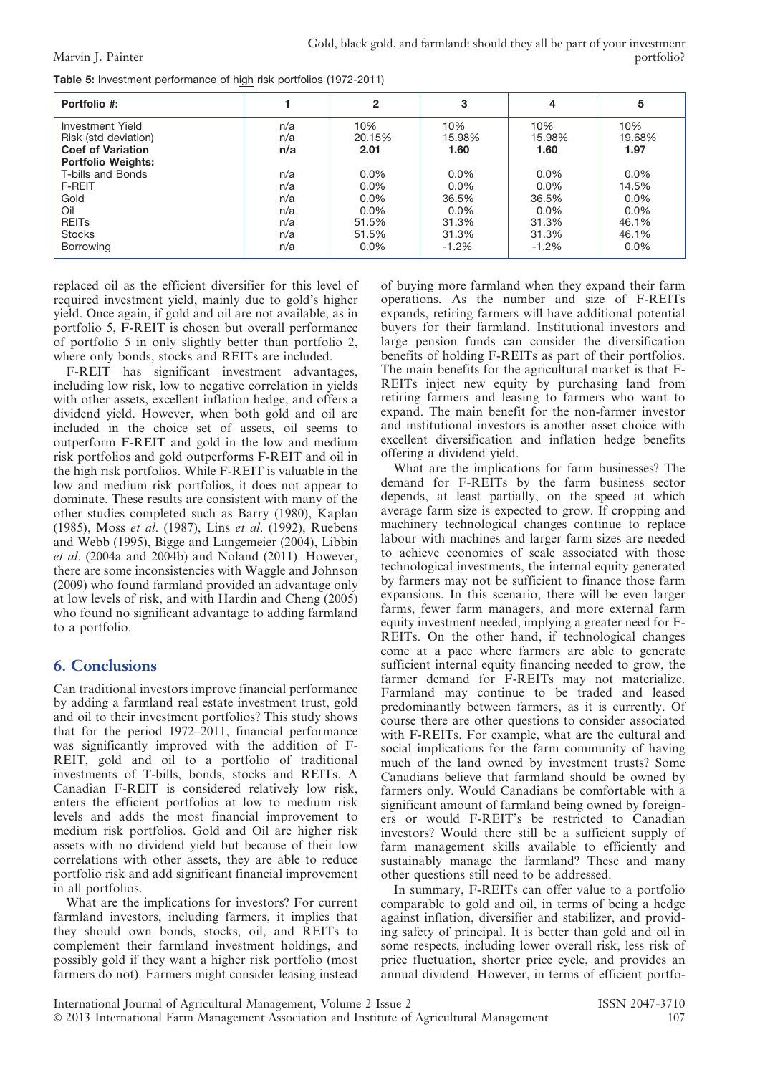| Portfolio #:              |     | $\overline{2}$ | 3       | 4        | 5       |
|---------------------------|-----|----------------|---------|----------|---------|
| Investment Yield          | n/a | 10%            | 10%     | 10%      | 10%     |
| Risk (std deviation)      | n/a | 20.15%         | 15.98%  | 15.98%   | 19.68%  |
| <b>Coef of Variation</b>  | n/a | 2.01           | 1.60    | 1.60     | 1.97    |
| <b>Portfolio Weights:</b> |     |                |         |          |         |
| T-bills and Bonds         | n/a | $0.0\%$        | $0.0\%$ | $0.0\%$  | $0.0\%$ |
| <b>F-REIT</b>             | n/a | $0.0\%$        | $0.0\%$ | $0.0\%$  | 14.5%   |
| Gold                      | n/a | $0.0\%$        | 36.5%   | 36.5%    | $0.0\%$ |
| Oil                       | n/a | $0.0\%$        | $0.0\%$ | $0.0\%$  | $0.0\%$ |
| <b>REITS</b>              | n/a | 51.5%          | 31.3%   | 31.3%    | 46.1%   |
| <b>Stocks</b>             | n/a | 51.5%          | 31.3%   | 31.3%    | 46.1%   |
| <b>Borrowing</b>          | n/a | $0.0\%$        | $-1.2%$ | $-1.2\%$ | $0.0\%$ |

Table 5: Investment performance of high risk portfolios (1972-2011)

replaced oil as the efficient diversifier for this level of required investment yield, mainly due to gold's higher yield. Once again, if gold and oil are not available, as in portfolio 5, F-REIT is chosen but overall performance of portfolio 5 in only slightly better than portfolio 2, where only bonds, stocks and REITs are included.

F-REIT has significant investment advantages, including low risk, low to negative correlation in yields with other assets, excellent inflation hedge, and offers a dividend yield. However, when both gold and oil are included in the choice set of assets, oil seems to outperform F-REIT and gold in the low and medium risk portfolios and gold outperforms F-REIT and oil in the high risk portfolios. While F-REIT is valuable in the low and medium risk portfolios, it does not appear to dominate. These results are consistent with many of the other studies completed such as Barry (1980), Kaplan (1985), Moss et al. (1987), Lins et al. (1992), Ruebens and Webb (1995), Bigge and Langemeier (2004), Libbin et al. (2004a and 2004b) and Noland (2011). However, there are some inconsistencies with Waggle and Johnson (2009) who found farmland provided an advantage only at low levels of risk, and with Hardin and Cheng (2005) who found no significant advantage to adding farmland to a portfolio.

# 6. Conclusions

Can traditional investors improve financial performance by adding a farmland real estate investment trust, gold and oil to their investment portfolios? This study shows that for the period 1972–2011, financial performance was significantly improved with the addition of F-REIT, gold and oil to a portfolio of traditional investments of T-bills, bonds, stocks and REITs. A Canadian F-REIT is considered relatively low risk, enters the efficient portfolios at low to medium risk levels and adds the most financial improvement to medium risk portfolios. Gold and Oil are higher risk assets with no dividend yield but because of their low correlations with other assets, they are able to reduce portfolio risk and add significant financial improvement in all portfolios.

What are the implications for investors? For current farmland investors, including farmers, it implies that they should own bonds, stocks, oil, and REITs to complement their farmland investment holdings, and possibly gold if they want a higher risk portfolio (most farmers do not). Farmers might consider leasing instead of buying more farmland when they expand their farm operations. As the number and size of F-REITs expands, retiring farmers will have additional potential buyers for their farmland. Institutional investors and large pension funds can consider the diversification benefits of holding F-REITs as part of their portfolios. The main benefits for the agricultural market is that F-REITs inject new equity by purchasing land from retiring farmers and leasing to farmers who want to expand. The main benefit for the non-farmer investor and institutional investors is another asset choice with excellent diversification and inflation hedge benefits offering a dividend yield.

What are the implications for farm businesses? The demand for F-REITs by the farm business sector depends, at least partially, on the speed at which average farm size is expected to grow. If cropping and machinery technological changes continue to replace labour with machines and larger farm sizes are needed to achieve economies of scale associated with those technological investments, the internal equity generated by farmers may not be sufficient to finance those farm expansions. In this scenario, there will be even larger farms, fewer farm managers, and more external farm equity investment needed, implying a greater need for F-REITs. On the other hand, if technological changes come at a pace where farmers are able to generate sufficient internal equity financing needed to grow, the farmer demand for F-REITs may not materialize. Farmland may continue to be traded and leased predominantly between farmers, as it is currently. Of course there are other questions to consider associated with F-REITs. For example, what are the cultural and social implications for the farm community of having much of the land owned by investment trusts? Some Canadians believe that farmland should be owned by farmers only. Would Canadians be comfortable with a significant amount of farmland being owned by foreigners or would F-REIT's be restricted to Canadian investors? Would there still be a sufficient supply of farm management skills available to efficiently and sustainably manage the farmland? These and many other questions still need to be addressed.

In summary, F-REITs can offer value to a portfolio comparable to gold and oil, in terms of being a hedge against inflation, diversifier and stabilizer, and providing safety of principal. It is better than gold and oil in some respects, including lower overall risk, less risk of price fluctuation, shorter price cycle, and provides an annual dividend. However, in terms of efficient portfo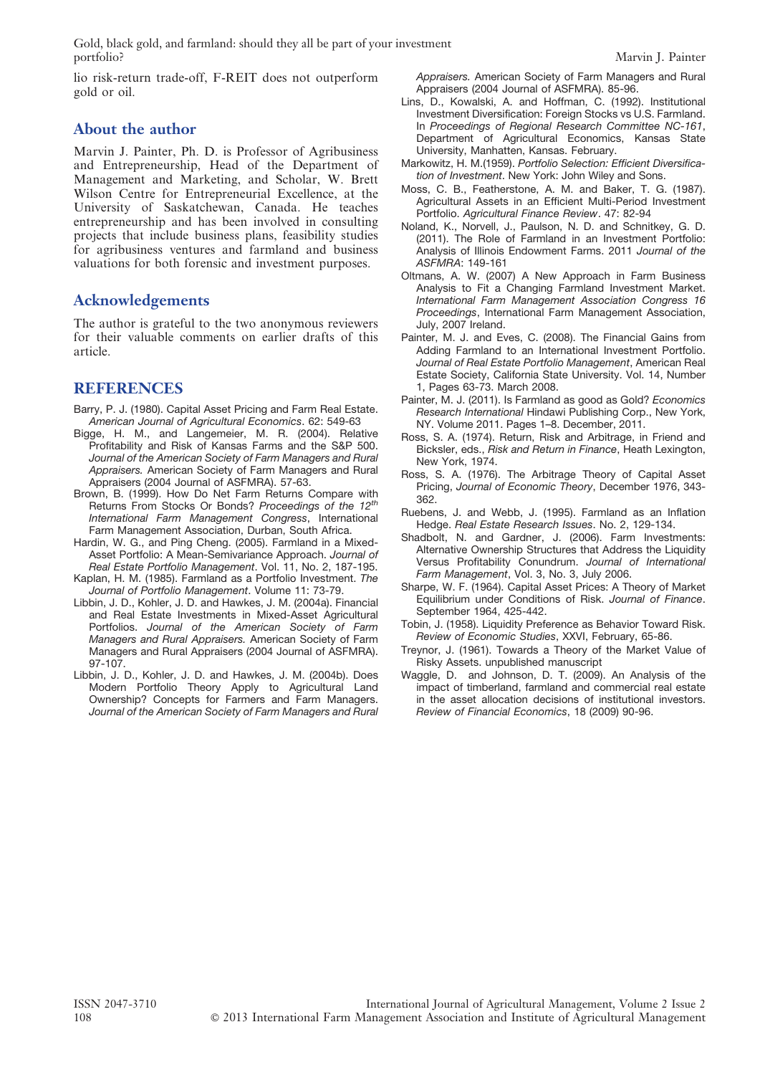Gold, black gold, and farmland: should they all be part of your investment portfolio? Marvin J. Painter

lio risk-return trade-off, F-REIT does not outperform gold or oil.

#### About the author

Marvin J. Painter, Ph. D. is Professor of Agribusiness and Entrepreneurship, Head of the Department of Management and Marketing, and Scholar, W. Brett Wilson Centre for Entrepreneurial Excellence, at the University of Saskatchewan, Canada. He teaches entrepreneurship and has been involved in consulting projects that include business plans, feasibility studies for agribusiness ventures and farmland and business valuations for both forensic and investment purposes.

#### Acknowledgements

The author is grateful to the two anonymous reviewers for their valuable comments on earlier drafts of this article.

# **REFERENCES**

- Barry, P. J. (1980). Capital Asset Pricing and Farm Real Estate. American Journal of Agricultural Economics. 62: 549-63
- Bigge, H. M., and Langemeier, M. R. (2004). Relative Profitability and Risk of Kansas Farms and the S&P 500. Journal of the American Society of Farm Managers and Rural Appraisers. American Society of Farm Managers and Rural Appraisers (2004 Journal of ASFMRA). 57-63.
- Brown, B. (1999). How Do Net Farm Returns Compare with Returns From Stocks Or Bonds? Proceedings of the 12<sup>th</sup> International Farm Management Congress, International Farm Management Association, Durban, South Africa.
- Hardin, W. G., and Ping Cheng. (2005). Farmland in a Mixed-Asset Portfolio: A Mean-Semivariance Approach. Journal of Real Estate Portfolio Management. Vol. 11, No. 2, 187-195.
- Kaplan, H. M. (1985). Farmland as a Portfolio Investment. The Journal of Portfolio Management. Volume 11: 73-79.
- Libbin, J. D., Kohler, J. D. and Hawkes, J. M. (2004a). Financial and Real Estate Investments in Mixed-Asset Agricultural Portfolios. Journal of the American Society of Farm Managers and Rural Appraisers. American Society of Farm Managers and Rural Appraisers (2004 Journal of ASFMRA). 97-107.
- Libbin, J. D., Kohler, J. D. and Hawkes, J. M. (2004b). Does Modern Portfolio Theory Apply to Agricultural Land Ownership? Concepts for Farmers and Farm Managers. Journal of the American Society of Farm Managers and Rural

Appraisers. American Society of Farm Managers and Rural Appraisers (2004 Journal of ASFMRA). 85-96.

- Lins, D., Kowalski, A. and Hoffman, C. (1992). Institutional Investment Diversification: Foreign Stocks vs U.S. Farmland. In Proceedings of Regional Research Committee NC-161, Department of Agricultural Economics, Kansas State University, Manhatten, Kansas. February.
- Markowitz, H. M.(1959). Portfolio Selection: Efficient Diversification of Investment. New York: John Wiley and Sons.
- Moss, C. B., Featherstone, A. M. and Baker, T. G. (1987). Agricultural Assets in an Efficient Multi-Period Investment Portfolio. Agricultural Finance Review. 47: 82-94
- Noland, K., Norvell, J., Paulson, N. D. and Schnitkey, G. D. (2011). The Role of Farmland in an Investment Portfolio: Analysis of Illinois Endowment Farms. 2011 Journal of the ASFMRA: 149-161
- Oltmans, A. W. (2007) A New Approach in Farm Business Analysis to Fit a Changing Farmland Investment Market. International Farm Management Association Congress 16 Proceedings, International Farm Management Association, July, 2007 Ireland.
- Painter, M. J. and Eves, C. (2008). The Financial Gains from Adding Farmland to an International Investment Portfolio. Journal of Real Estate Portfolio Management, American Real Estate Society, California State University. Vol. 14, Number 1, Pages 63-73. March 2008.
- Painter, M. J. (2011). Is Farmland as good as Gold? Economics Research International Hindawi Publishing Corp., New York, NY. Volume 2011. Pages 1–8. December, 2011.
- Ross, S. A. (1974). Return, Risk and Arbitrage, in Friend and Bicksler, eds., Risk and Return in Finance, Heath Lexington, New York, 1974.
- Ross, S. A. (1976). The Arbitrage Theory of Capital Asset Pricing, Journal of Economic Theory, December 1976, 343- 362.
- Ruebens, J. and Webb, J. (1995). Farmland as an Inflation Hedge. Real Estate Research Issues. No. 2, 129-134.
- Shadbolt, N. and Gardner, J. (2006). Farm Investments: Alternative Ownership Structures that Address the Liquidity Versus Profitability Conundrum. Journal of International Farm Management, Vol. 3, No. 3, July 2006.
- Sharpe, W. F. (1964). Capital Asset Prices: A Theory of Market Equilibrium under Conditions of Risk. Journal of Finance. September 1964, 425-442.
- Tobin, J. (1958). Liquidity Preference as Behavior Toward Risk. Review of Economic Studies, XXVI, February, 65-86.
- Treynor, J. (1961). Towards a Theory of the Market Value of Risky Assets. unpublished manuscript
- Waggle, D. and Johnson, D. T. (2009). An Analysis of the impact of timberland, farmland and commercial real estate in the asset allocation decisions of institutional investors. Review of Financial Economics, 18 (2009) 90-96.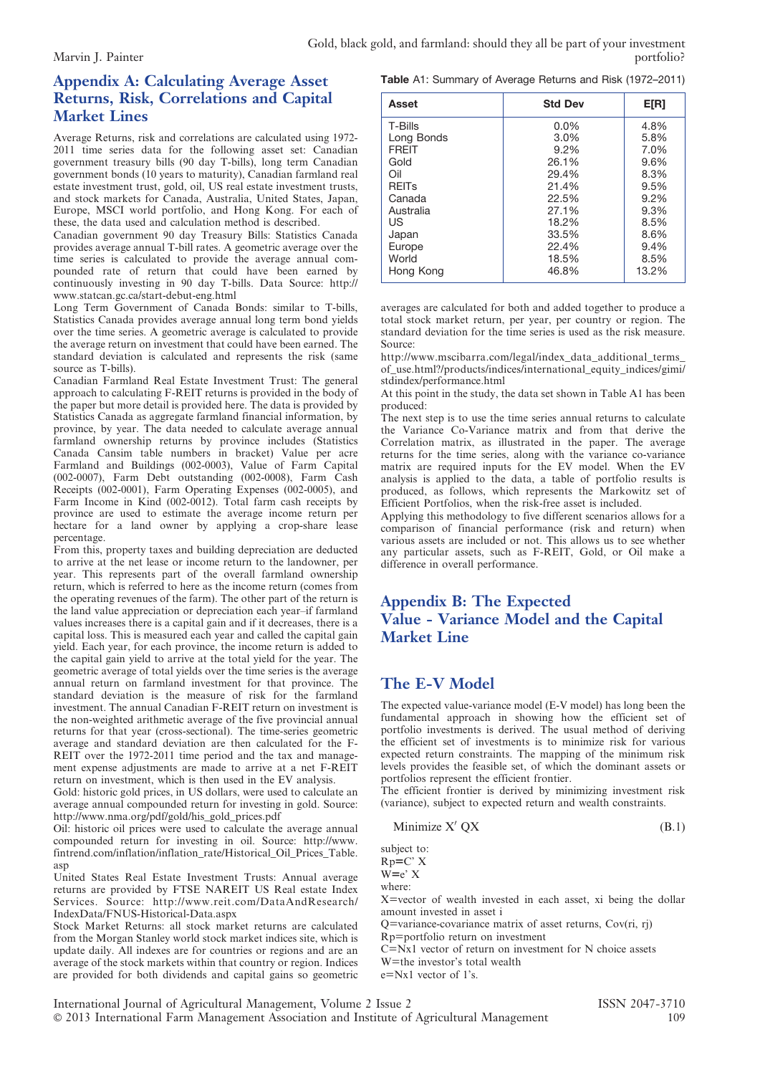# Appendix A: Calculating Average Asset Returns, Risk, Correlations and Capital Market Lines

Average Returns, risk and correlations are calculated using 1972- 2011 time series data for the following asset set: Canadian government treasury bills (90 day T-bills), long term Canadian government bonds (10 years to maturity), Canadian farmland real estate investment trust, gold, oil, US real estate investment trusts, and stock markets for Canada, Australia, United States, Japan, Europe, MSCI world portfolio, and Hong Kong. For each of these, the data used and calculation method is described.

Canadian government 90 day Treasury Bills: Statistics Canada provides average annual T-bill rates. A geometric average over the time series is calculated to provide the average annual compounded rate of return that could have been earned by continuously investing in 90 day T-bills. Data Source: http:// www.statcan.gc.ca/start-debut-eng.html

Long Term Government of Canada Bonds: similar to T-bills, Statistics Canada provides average annual long term bond yields over the time series. A geometric average is calculated to provide the average return on investment that could have been earned. The standard deviation is calculated and represents the risk (same source as T-bills).

Canadian Farmland Real Estate Investment Trust: The general approach to calculating F-REIT returns is provided in the body of the paper but more detail is provided here. The data is provided by Statistics Canada as aggregate farmland financial information, by province, by year. The data needed to calculate average annual farmland ownership returns by province includes (Statistics Canada Cansim table numbers in bracket) Value per acre Farmland and Buildings (002-0003), Value of Farm Capital (002-0007), Farm Debt outstanding (002-0008), Farm Cash Receipts (002-0001), Farm Operating Expenses (002-0005), and Farm Income in Kind (002-0012). Total farm cash receipts by province are used to estimate the average income return per hectare for a land owner by applying a crop-share lease percentage.

From this, property taxes and building depreciation are deducted to arrive at the net lease or income return to the landowner, per year. This represents part of the overall farmland ownership return, which is referred to here as the income return (comes from the operating revenues of the farm). The other part of the return is the land value appreciation or depreciation each year–if farmland values increases there is a capital gain and if it decreases, there is a capital loss. This is measured each year and called the capital gain yield. Each year, for each province, the income return is added to the capital gain yield to arrive at the total yield for the year. The geometric average of total yields over the time series is the average annual return on farmland investment for that province. The standard deviation is the measure of risk for the farmland investment. The annual Canadian F-REIT return on investment is the non-weighted arithmetic average of the five provincial annual returns for that year (cross-sectional). The time-series geometric average and standard deviation are then calculated for the F-REIT over the 1972-2011 time period and the tax and management expense adjustments are made to arrive at a net F-REIT return on investment, which is then used in the EV analysis.

Gold: historic gold prices, in US dollars, were used to calculate an average annual compounded return for investing in gold. Source: http://www.nma.org/pdf/gold/his\_gold\_prices.pdf

Oil: historic oil prices were used to calculate the average annual compounded return for investing in oil. Source: http://www. fintrend.com/inflation/inflation\_rate/Historical\_Oil\_Prices\_Table. asp

United States Real Estate Investment Trusts: Annual average returns are provided by FTSE NAREIT US Real estate Index Services. Source: http://www.reit.com/DataAndResearch/ IndexData/FNUS-Historical-Data.aspx

Stock Market Returns: all stock market returns are calculated from the Morgan Stanley world stock market indices site, which is update daily. All indexes are for countries or regions and are an average of the stock markets within that country or region. Indices are provided for both dividends and capital gains so geometric

Table A1: Summary of Average Returns and Risk (1972–2011)

| Asset                   | <b>Std Dev</b> | E[R]    |
|-------------------------|----------------|---------|
| T-Bills                 | $0.0\%$        | 4.8%    |
| Long Bonds              | $3.0\%$        | 5.8%    |
| <b>FREIT</b>            | $9.2\%$        | 7.0%    |
| Gold                    | 26.1%          | 9.6%    |
| Oil                     | 29.4%          | 8.3%    |
| <b>REIT<sub>s</sub></b> | 21.4%          | 9.5%    |
| Canada                  | 22.5%          | $9.2\%$ |
| Australia               | 27.1%          | 9.3%    |
| US                      | 18.2%          | 8.5%    |
| Japan                   | 33.5%          | 8.6%    |
| Europe                  | 22.4%          | $9.4\%$ |
| World                   | 18.5%          | 8.5%    |
| Hong Kong               | 46.8%          | 13.2%   |

averages are calculated for both and added together to produce a total stock market return, per year, per country or region. The standard deviation for the time series is used as the risk measure. Source:

http://www.mscibarra.com/legal/index\_data\_additional\_terms\_ of\_use.html?/products/indices/international\_equity\_indices/gimi/ stdindex/performance.html

At this point in the study, the data set shown in Table A1 has been produced:

The next step is to use the time series annual returns to calculate the Variance Co-Variance matrix and from that derive the Correlation matrix, as illustrated in the paper. The average returns for the time series, along with the variance co-variance matrix are required inputs for the EV model. When the EV analysis is applied to the data, a table of portfolio results is produced, as follows, which represents the Markowitz set of Efficient Portfolios, when the risk-free asset is included.

Applying this methodology to five different scenarios allows for a comparison of financial performance (risk and return) when various assets are included or not. This allows us to see whether any particular assets, such as F-REIT, Gold, or Oil make a difference in overall performance.

# Appendix B: The Expected Value - Variance Model and the Capital Market Line

#### The E-V Model

The expected value-variance model (E-V model) has long been the fundamental approach in showing how the efficient set of portfolio investments is derived. The usual method of deriving the efficient set of investments is to minimize risk for various expected return constraints. The mapping of the minimum risk levels provides the feasible set, of which the dominant assets or portfolios represent the efficient frontier.

The efficient frontier is derived by minimizing investment risk (variance), subject to expected return and wealth constraints.

Minimize  $X' QX$  (B.1)

subject to: Rp=C' X

 $W=e' X$ 

where:

X=vector of wealth invested in each asset, xi being the dollar amount invested in asset i

Q=variance-covariance matrix of asset returns, Cov(ri, rj)

Rp=portfolio return on investment

C=Nx1 vector of return on investment for N choice assets W=the investor's total wealth

e=Nx1 vector of 1's.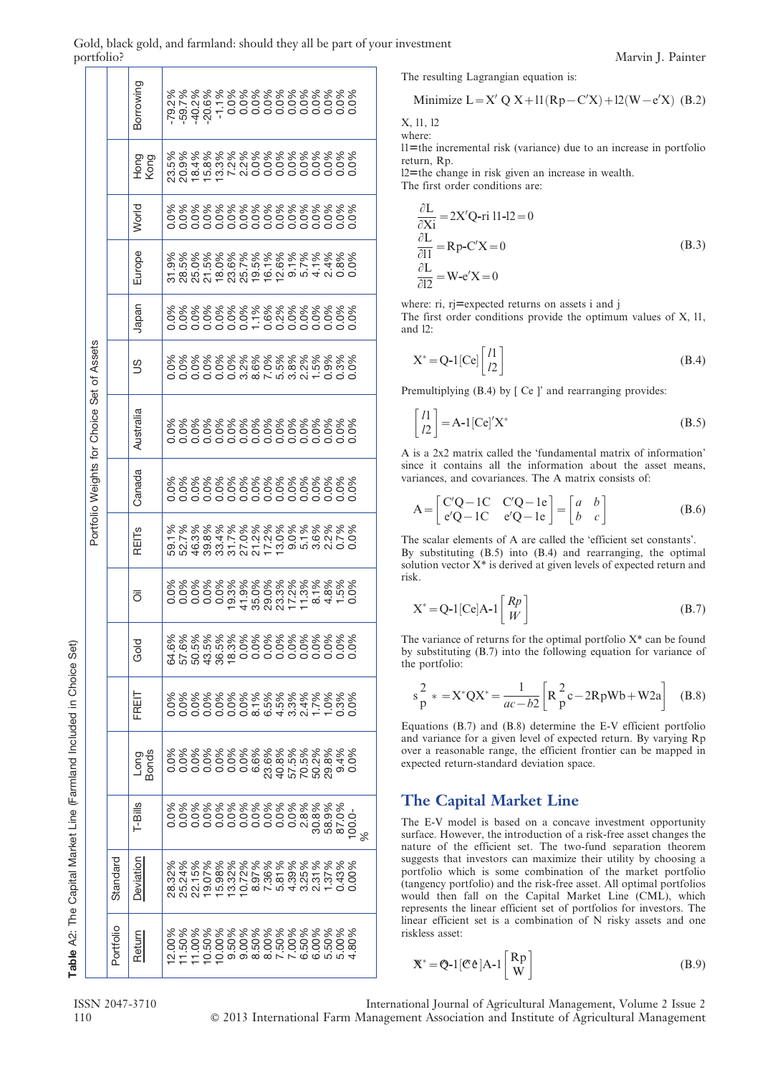|                                            |           | Borrowing            |      |      | %%%%%%%%%%%%%%%<br>appact=000000000000<br>mhqqr=000000000000<br>mhqqr=                                                          |        |  |  |  |  |  |           |  |
|--------------------------------------------|-----------|----------------------|------|------|---------------------------------------------------------------------------------------------------------------------------------|--------|--|--|--|--|--|-----------|--|
|                                            |           | Hong<br>Kong         |      |      |                                                                                                                                 |        |  |  |  |  |  |           |  |
|                                            |           | World                |      |      |                                                                                                                                 |        |  |  |  |  |  |           |  |
|                                            |           | Europe               |      |      |                                                                                                                                 |        |  |  |  |  |  |           |  |
|                                            |           | Japan                |      |      | %%%%%%%%%%%%%%%<br>000000007#%%9%%%%<br>000000000000000                                                                         |        |  |  |  |  |  |           |  |
|                                            |           | $\mathfrak{S}$       |      |      |                                                                                                                                 |        |  |  |  |  |  |           |  |
| Portfolio Weights for Choice Set of Assets |           | Australia            |      |      |                                                                                                                                 |        |  |  |  |  |  |           |  |
|                                            |           | Canada               |      |      |                                                                                                                                 |        |  |  |  |  |  |           |  |
|                                            |           | <b>REITS</b>         |      |      |                                                                                                                                 |        |  |  |  |  |  | 0.0%      |  |
|                                            |           | ā                    | 0.0% | 0.0% | 0.0%<br>0.0%                                                                                                                    |        |  |  |  |  |  | $0\%$     |  |
|                                            |           | Gold                 |      |      | \$\$\$\$\$\$\$\$\$\$\$\$\$\$\$\$\$\$<br>@@@@@@@OOOOOOOOO<br>#&@@@@@@@@@@@@@<br>\$\$\$\$\$\$\$\$\$\$\$\$\$\$\$\$\$               |        |  |  |  |  |  |           |  |
|                                            |           | FREIT                |      |      |                                                                                                                                 |        |  |  |  |  |  |           |  |
|                                            |           | <b>Bonds</b><br>Long |      |      | ९ ४ ४ ४ ४ ४ ४ ४ ४ ४ ४ ४ ४ ४ ४<br>०००००००० ७ ७ ७ ७ ७ ७ ७ ५<br>४ ४ ४ ४ ४ ४ ४ ४ ४ ४ ४ ४ ४ ४ ४ ४<br>४ ४ ४ ४ ४ ४ ४ ४ ४ ४ ४ ४ ४ ४ ४ ४ |        |  |  |  |  |  | 0.0%      |  |
|                                            |           | $T-Bils$             |      |      |                                                                                                                                 |        |  |  |  |  |  | $100.0 -$ |  |
|                                            | Standard  | Deviation            |      |      | 28.32%<br>25.24%<br>22.15%<br>19.07%                                                                                            |        |  |  |  |  |  |           |  |
|                                            | Portfolio | Return               |      |      | 1.50%<br> 1.00%<br> 0.50%                                                                                                       | 10.00% |  |  |  |  |  | 1.80%     |  |
|                                            |           |                      |      |      |                                                                                                                                 |        |  |  |  |  |  |           |  |

The resulting Lagrangian equation is:

Minimize 
$$
L = X' Q X + 11(Rp - C'X) + 12(W - e'X)
$$
 (B.2)

Marvin J. Painter

X, l1, l2

where:

l1=the incremental risk (variance) due to an increase in portfolio return, Rp.

l2=the change in risk given an increase in wealth. The first order conditions are:

$$
\frac{\partial L}{\partial X_i} = 2X'Q - ri \ 11 - 12 = 0
$$
  
\n
$$
\frac{\partial L}{\partial 11} = Rp - C'X = 0
$$
  
\n
$$
\frac{\partial L}{\partial 12} = W - e'X = 0
$$
\n(B.3)

where: ri, rj=expected returns on assets i and j

The first order conditions provide the optimum values of X, l1, and l2:

$$
X^* = Q - 1[Ce] \begin{bmatrix} l1 \\ l2 \end{bmatrix}
$$
 (B.4)

Premultiplying (B.4) by [ Ce ]' and rearranging provides:

$$
\begin{bmatrix} l1 \\ l2 \end{bmatrix} = A - 1[Ce]'X^*
$$
\n(B.5)

A is a 2x2 matrix called the 'fundamental matrix of information' since it contains all the information about the asset means, variances, and covariances. The A matrix consists of:

$$
A = \begin{bmatrix} C'Q - 1C & C'Q - 1e \\ e'Q - 1C & e'Q - 1e \end{bmatrix} = \begin{bmatrix} a & b \\ b & c \end{bmatrix}
$$
 (B.6)

The scalar elements of A are called the 'efficient set constants'. By substituting (B.5) into (B.4) and rearranging, the optimal solution vector X\* is derived at given levels of expected return and risk.

$$
X^* = Q - 1[Ce]A - 1\begin{bmatrix} Rp \\ W \end{bmatrix}
$$
 (B.7)

The variance of returns for the optimal portfolio  $X^*$  can be found by substituting (B.7) into the following equation for variance of the portfolio:

$$
s\frac{2}{p} * = X^*QX^* = \frac{1}{ac - b^2} \left[ R\frac{2}{p}c - 2RpWb + W2a \right]
$$
 (B.8)

Equations (B.7) and (B.8) determine the E-V efficient portfolio and variance for a given level of expected return. By varying Rp over a reasonable range, the efficient frontier can be mapped in expected return-standard deviation space.

#### The Capital Market Line

The E-V model is based on a concave investment opportunity surface. However, the introduction of a risk-free asset changes the nature of the efficient set. The two-fund separation theorem suggests that investors can maximize their utility by choosing a portfolio which is some combination of the market portfolio (tangency portfolio) and the risk-free asset. All optimal portfolios would then fall on the Capital Market Line (CML), which represents the linear efficient set of portfolios for investors. The linear efficient set is a combination of N risky assets and one riskless asset:

$$
\mathbf{X}^* = \mathbf{Q} \text{-} \mathbf{1} [\mathbf{C} \mathbf{\hat{e}}] \mathbf{A} \text{-} \mathbf{1} \begin{bmatrix} \mathbf{R} \mathbf{p} \\ \mathbf{W} \end{bmatrix} \tag{B.9}
$$

Table A2: The Capital Market Line (Farmland Included in Choice Set)

Table A2: The Capital Market Line (Farmland Included in Choice Set)

ISSN 2047-3710 International Journal of Agricultural Management, Volume 2 Issue 2 110 ' 2013 International Farm Management Association and Institute of Agricultural Management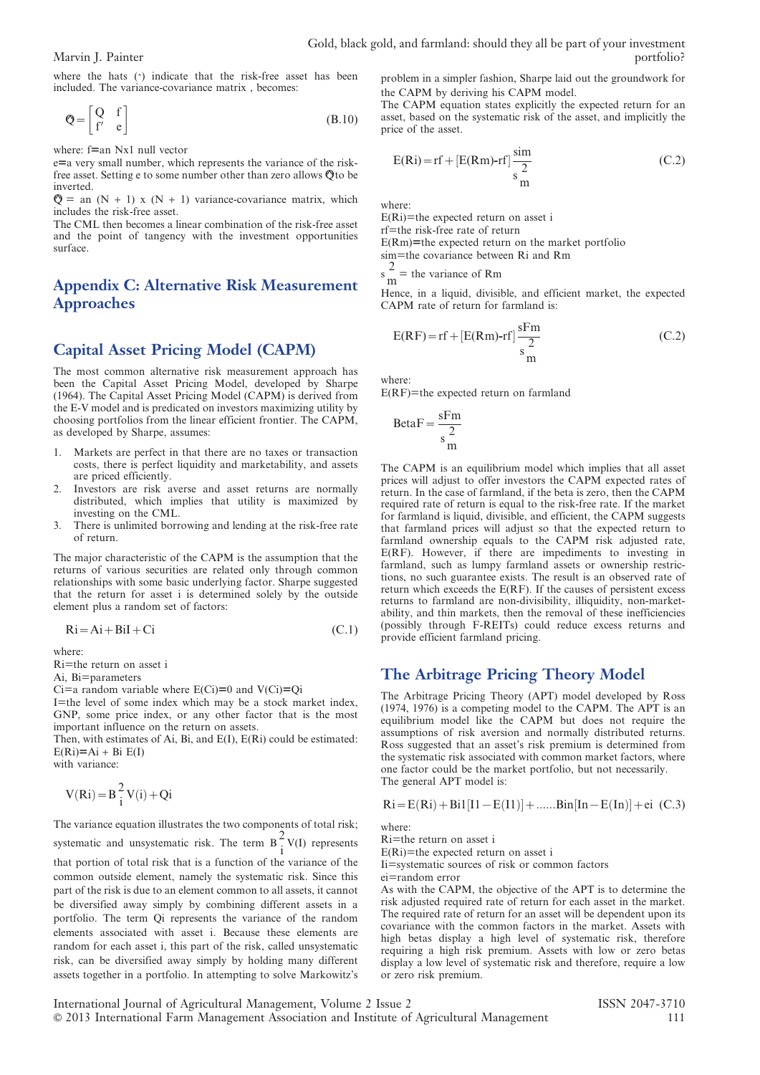where the hats ( $\hat{ }$ ) indicate that the risk-free asset has been included. The variance-covariance matrix , becomes:

$$
\mathbf{Q} = \begin{bmatrix} \mathbf{Q} & \mathbf{f} \\ \mathbf{f}' & \mathbf{e} \end{bmatrix} \tag{B.10}
$$

where: f=an Nx1 null vector

e=a very small number, which represents the variance of the riskfree asset. Setting e to some number other than zero allows  $\mathcal{Q}$  to be inverted.

 $\mathcal{Q}$  = an (N + 1) x (N + 1) variance-covariance matrix, which includes the risk-free asset.

The CML then becomes a linear combination of the risk-free asset and the point of tangency with the investment opportunities surface.

#### Appendix C: Alternative Risk Measurement Approaches

#### Capital Asset Pricing Model (CAPM)

The most common alternative risk measurement approach has been the Capital Asset Pricing Model, developed by Sharpe (1964). The Capital Asset Pricing Model (CAPM) is derived from the E-V model and is predicated on investors maximizing utility by choosing portfolios from the linear efficient frontier. The CAPM, as developed by Sharpe, assumes:

- 1. Markets are perfect in that there are no taxes or transaction costs, there is perfect liquidity and marketability, and assets are priced efficiently.
- 2. Investors are risk averse and asset returns are normally distributed, which implies that utility is maximized by investing on the CML.
- 3. There is unlimited borrowing and lending at the risk-free rate of return.

The major characteristic of the CAPM is the assumption that the returns of various securities are related only through common relationships with some basic underlying factor. Sharpe suggested that the return for asset i is determined solely by the outside element plus a random set of factors:

$$
Ri = Ai + BiI + Ci
$$
 (C.1)

where:

Ri=the return on asset i

Ai, Bi=parameters

Ci=a random variable where  $E(Ci)=0$  and  $V(Ci)=Qi$ 

I=the level of some index which may be a stock market index, GNP, some price index, or any other factor that is the most important influence on the return on assets.

Then, with estimates of Ai, Bi, and E(I), E(Ri) could be estimated:  $E(Ri)=Ai + Bi E(I)$ 

with variance:

$$
V(Ri) = B\frac{2}{i}V(i) + Qi
$$

The variance equation illustrates the two components of total risk; systematic and unsystematic risk. The term  $B_i^2 V(I)$  represents that portion of total risk that is a function of the variance of the common outside element, namely the systematic risk. Since this part of the risk is due to an element common to all assets, it cannot

be diversified away simply by combining different assets in a portfolio. The term Qi represents the variance of the random elements associated with asset i. Because these elements are random for each asset i, this part of the risk, called unsystematic risk, can be diversified away simply by holding many different assets together in a portfolio. In attempting to solve Markowitz's problem in a simpler fashion, Sharpe laid out the groundwork for the CAPM by deriving his CAPM model.

The CAPM equation states explicitly the expected return for an asset, based on the systematic risk of the asset, and implicitly the price of the asset.

$$
E(Ri) = rf + [E(Rm)-rf] \frac{\sin n}{s \frac{2}{m}}
$$
 (C.2)

where:

 $E(Ri)$ =the expected return on asset i

rf=the risk-free rate of return

 $E(Rm)=$ the expected return on the market portfolio

sim=the covariance between Ri and Rm

 $s \frac{2}{m}$  = the variance of Rm

Hence, in a liquid, divisible, and efficient market, the expected CAPM rate of return for farmland is:

$$
E(RF) = rf + [E(Rm)-rf] \frac{sFm}{s\frac{2}{m}}
$$
 (C.2)

where:

E(RF)=the expected return on farmland

$$
BetaF = \frac{sFm}{s\frac{2}{m}}
$$

The CAPM is an equilibrium model which implies that all asset prices will adjust to offer investors the CAPM expected rates of return. In the case of farmland, if the beta is zero, then the CAPM required rate of return is equal to the risk-free rate. If the market for farmland is liquid, divisible, and efficient, the CAPM suggests that farmland prices will adjust so that the expected return to farmland ownership equals to the CAPM risk adjusted rate, E(RF). However, if there are impediments to investing in farmland, such as lumpy farmland assets or ownership restrictions, no such guarantee exists. The result is an observed rate of return which exceeds the E(RF). If the causes of persistent excess returns to farmland are non-divisibility, illiquidity, non-marketability, and thin markets, then the removal of these inefficiencies (possibly through F-REITs) could reduce excess returns and provide efficient farmland pricing.

#### The Arbitrage Pricing Theory Model

The Arbitrage Pricing Theory (APT) model developed by Ross (1974, 1976) is a competing model to the CAPM. The APT is an equilibrium model like the CAPM but does not require the assumptions of risk aversion and normally distributed returns. Ross suggested that an asset's risk premium is determined from the systematic risk associated with common market factors, where one factor could be the market portfolio, but not necessarily. The general APT model is:

$$
Ri = E(Ri) + Bi1[11 - E(11)] + \dots, Bin[In - E(In)] + ei (C.3)
$$

where:

Ri=the return on asset i

 $E(Ri)$ =the expected return on asset i

Ii=systematic sources of risk or common factors

ei=random error

As with the CAPM, the objective of the APT is to determine the risk adjusted required rate of return for each asset in the market. The required rate of return for an asset will be dependent upon its covariance with the common factors in the market. Assets with high betas display a high level of systematic risk, therefore requiring a high risk premium. Assets with low or zero betas display a low level of systematic risk and therefore, require a low or zero risk premium.